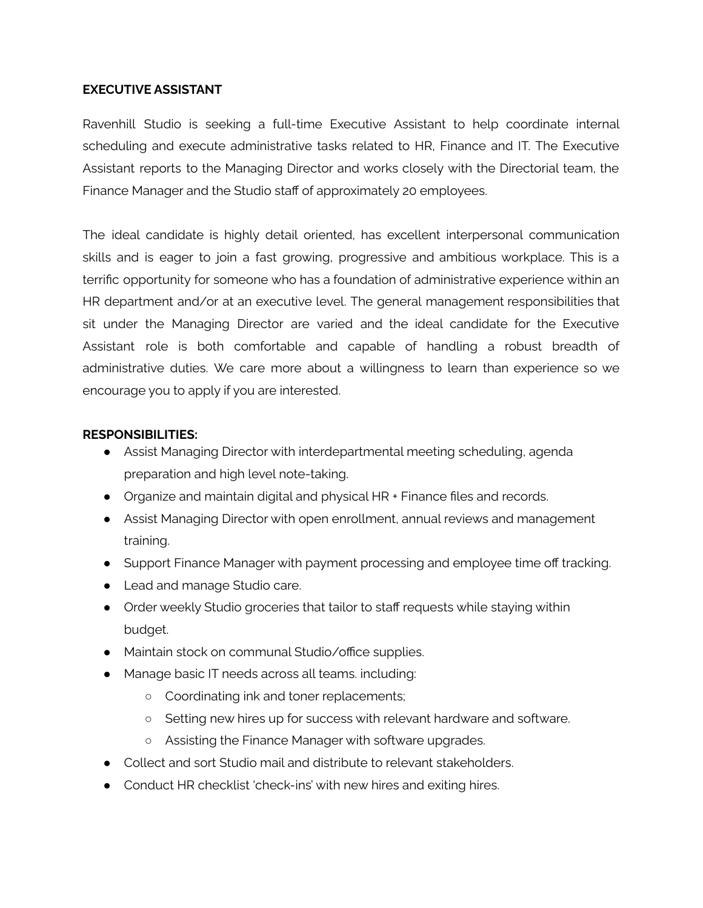### **EXECUTIVE ASSISTANT**

Ravenhill Studio is seeking a full-time Executive Assistant to help coordinate internal scheduling and execute administrative tasks related to HR, Finance and IT. The Executive Assistant reports to the Managing Director and works closely with the Directorial team, the Finance Manager and the Studio staff of approximately 20 employees.

The ideal candidate is highly detail oriented, has excellent interpersonal communication skills and is eager to join a fast growing, progressive and ambitious workplace. This is a terrific opportunity for someone who has a foundation of administrative experience within an HR department and/or at an executive level. The general management responsibilities that sit under the Managing Director are varied and the ideal candidate for the Executive Assistant role is both comfortable and capable of handling a robust breadth of administrative duties. We care more about a willingness to learn than experience so we encourage you to apply if you are interested.

### **RESPONSIBILITIES:**

- Assist Managing Director with interdepartmental meeting scheduling, agenda preparation and high level note-taking.
- Organize and maintain digital and physical HR + Finance files and records.
- Assist Managing Director with open enrollment, annual reviews and management training.
- Support Finance Manager with payment processing and employee time off tracking.
- Lead and manage Studio care.
- Order weekly Studio groceries that tailor to staff requests while staying within budget.
- Maintain stock on communal Studio/office supplies.
- Manage basic IT needs across all teams. including:
	- Coordinating ink and toner replacements;
	- Setting new hires up for success with relevant hardware and software.
	- Assisting the Finance Manager with software upgrades.
- Collect and sort Studio mail and distribute to relevant stakeholders.
- Conduct HR checklist 'check-ins' with new hires and exiting hires.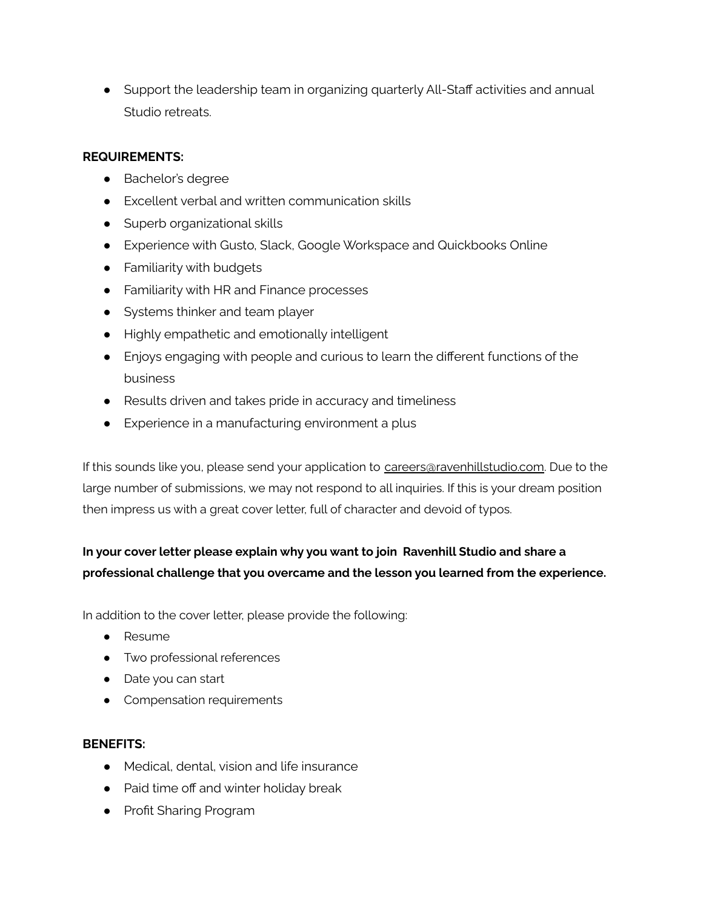● Support the leadership team in organizing quarterly All-Staff activities and annual Studio retreats.

## **REQUIREMENTS:**

- Bachelor's degree
- Excellent verbal and written communication skills
- Superb organizational skills
- Experience with Gusto, Slack, Google Workspace and Quickbooks Online
- Familiarity with budgets
- Familiarity with HR and Finance processes
- Systems thinker and team player
- Highly empathetic and emotionally intelligent
- Enjoys engaging with people and curious to learn the different functions of the business
- Results driven and takes pride in accuracy and timeliness
- Experience in a manufacturing environment a plus

If this sounds like you, please send your application to [careers@r](mailto:careers@brendanravenhill.com)avenhillstudio.com. Due to the large number of submissions, we may not respond to all inquiries. If this is your dream position then impress us with a great cover letter, full of character and devoid of typos.

# **In your cover letter please explain why you want to join Ravenhill Studio and share a professional challenge that you overcame and the lesson you learned from the experience.**

In addition to the cover letter, please provide the following:

- Resume
- Two professional references
- Date you can start
- Compensation requirements

## **BENEFITS:**

- Medical, dental, vision and life insurance
- Paid time off and winter holiday break
- Profit Sharing Program